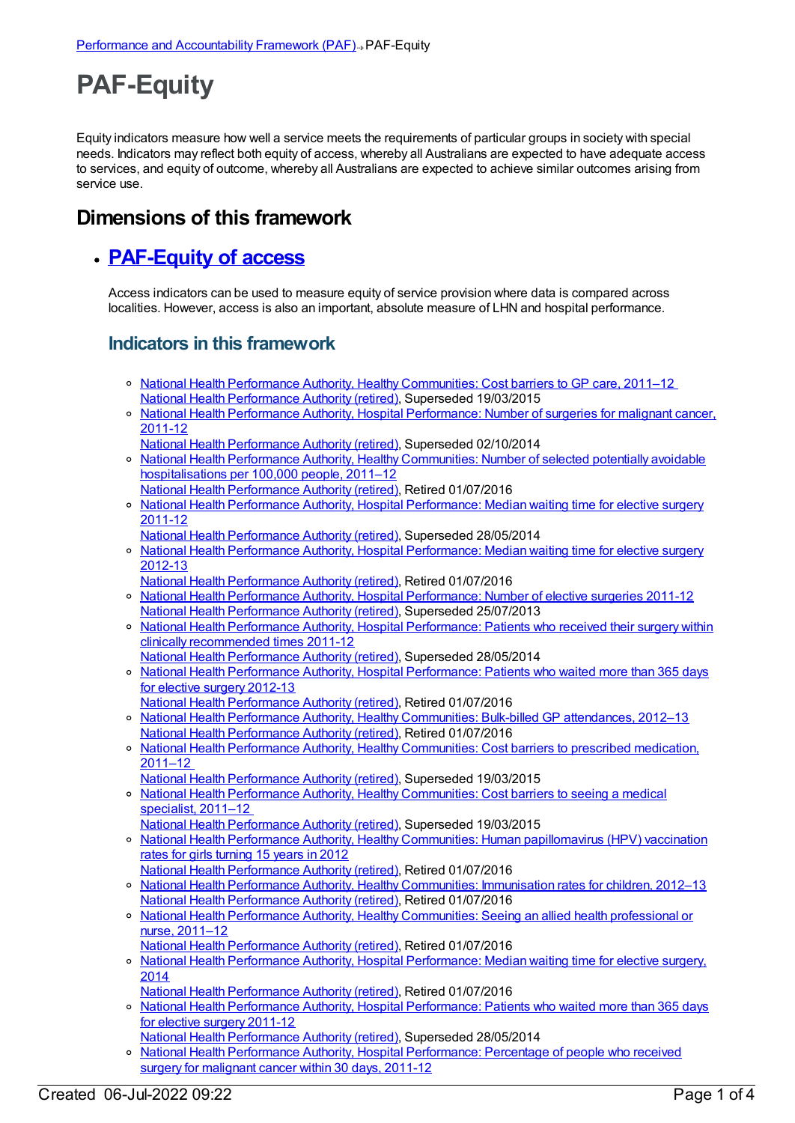## **PAF-Equity**

Equity indicators measure how well a service meets the requirements of particular groups in society with special needs. Indicators may reflect both equity of access, whereby all Australians are expected to have adequate access to services, and equity of outcome, whereby all Australians are expected to achieve similar outcomes arising from service use.

## **Dimensions of this framework**

## **[PAF-Equity](https://meteor.aihw.gov.au/content/554927) of access**

Access indicators can be used to measure equity of service provision where data is compared across localities. However, access is also an important, absolute measure of LHN and hospital performance.

## **Indicators in this framework**

- o National Health Performance Authority, Healthy [Communities:](https://meteor.aihw.gov.au/content/548008) Cost barriers to GP care, 2011–12 National Health [Performance](https://meteor.aihw.gov.au/RegistrationAuthority/8) Authority (retired), Superseded 19/03/2015
- o National Health Performance Authority, Hospital [Performance:](https://meteor.aihw.gov.au/content/530143) Number of surgeries for malignant cancer, 2011-12
- National Health [Performance](https://meteor.aihw.gov.au/RegistrationAuthority/8) Authority (retired), Superseded 02/10/2014
- <sup>o</sup> National Health Performance Authority, Healthy [Communities:](https://meteor.aihw.gov.au/content/549587) Number of selected potentially avoidable hospitalisations per 100,000 people, 2011–12
- National Health [Performance](https://meteor.aihw.gov.au/RegistrationAuthority/8) Authority (retired), Retired 01/07/2016
- National Health Performance Authority, Hospital [Performance:](https://meteor.aihw.gov.au/content/527347) Median waiting time for elective surgery 2011-12
- National Health [Performance](https://meteor.aihw.gov.au/RegistrationAuthority/8) Authority (retired), Superseded 28/05/2014
- o National Health Performance Authority, Hospital [Performance:](https://meteor.aihw.gov.au/content/532942) Median waiting time for elective surgery 2012-13
- National Health [Performance](https://meteor.aihw.gov.au/RegistrationAuthority/8) Authority (retired), Retired 01/07/2016
- o National Health Performance Authority, Hospital [Performance:](https://meteor.aihw.gov.au/content/527374) Number of elective surgeries 2011-12 National Health [Performance](https://meteor.aihw.gov.au/RegistrationAuthority/8) Authority (retired), Superseded 25/07/2013
- o National Health Performance Authority, Hospital [Performance:](https://meteor.aihw.gov.au/content/527368) Patients who received their surgery within clinically recommended times 2011-12
- National Health [Performance](https://meteor.aihw.gov.au/RegistrationAuthority/8) Authority (retired), Superseded 28/05/2014 o National Health Performance Authority, Hospital [Performance:](https://meteor.aihw.gov.au/content/532932) Patients who waited more than 365 days for elective surgery 2012-13
- National Health [Performance](https://meteor.aihw.gov.au/RegistrationAuthority/8) Authority (retired), Retired 01/07/2016
- o National Health Performance Authority, Healthy [Communities:](https://meteor.aihw.gov.au/content/528911) Bulk-billed GP attendances, 2012-13 National Health [Performance](https://meteor.aihw.gov.au/RegistrationAuthority/8) Authority (retired), Retired 01/07/2016
- o National Health Performance Authority, Healthy [Communities:](https://meteor.aihw.gov.au/content/548023) Cost barriers to prescribed medication, 2011–12
- National Health [Performance](https://meteor.aihw.gov.au/RegistrationAuthority/8) Authority (retired), Superseded 19/03/2015 National Health Performance Authority, Healthy [Communities:](https://meteor.aihw.gov.au/content/548011) Cost barriers to seeing a medical specialist, 2011–12
- National Health [Performance](https://meteor.aihw.gov.au/RegistrationAuthority/8) Authority (retired), Superseded 19/03/2015
- o National Health Performance Authority, Healthy Communities: Human [papillomavirus](https://meteor.aihw.gov.au/content/564385) (HPV) vaccination rates for girls turning 15 years in 2012 National Health [Performance](https://meteor.aihw.gov.au/RegistrationAuthority/8) Authority (retired), Retired 01/07/2016
- o National Health Performance Authority, Healthy [Communities:](https://meteor.aihw.gov.au/content/564342) Immunisation rates for children, 2012-13
- National Health [Performance](https://meteor.aihw.gov.au/RegistrationAuthority/8) Authority (retired), Retired 01/07/2016 o National Health Performance Authority, Healthy [Communities:](https://meteor.aihw.gov.au/content/546854) Seeing an allied health professional or nurse, 2011–12
	- National Health [Performance](https://meteor.aihw.gov.au/RegistrationAuthority/8) Authority (retired), Retired 01/07/2016
	- o National Health Performance Authority, Hospital [Performance:](https://meteor.aihw.gov.au/content/558302) Median waiting time for elective surgery, 2014
	- National Health [Performance](https://meteor.aihw.gov.au/RegistrationAuthority/8) Authority (retired), Retired 01/07/2016
	- o National Health Performance Authority, Hospital [Performance:](https://meteor.aihw.gov.au/content/527371) Patients who waited more than 365 days for elective surgery 2011-12
	- National Health [Performance](https://meteor.aihw.gov.au/RegistrationAuthority/8) Authority (retired), Superseded 28/05/2014
	- o National Health Performance Authority, Hospital [Performance:](https://meteor.aihw.gov.au/content/530411) Percentage of people who received surgery for malignant cancer within 30 days, 2011-12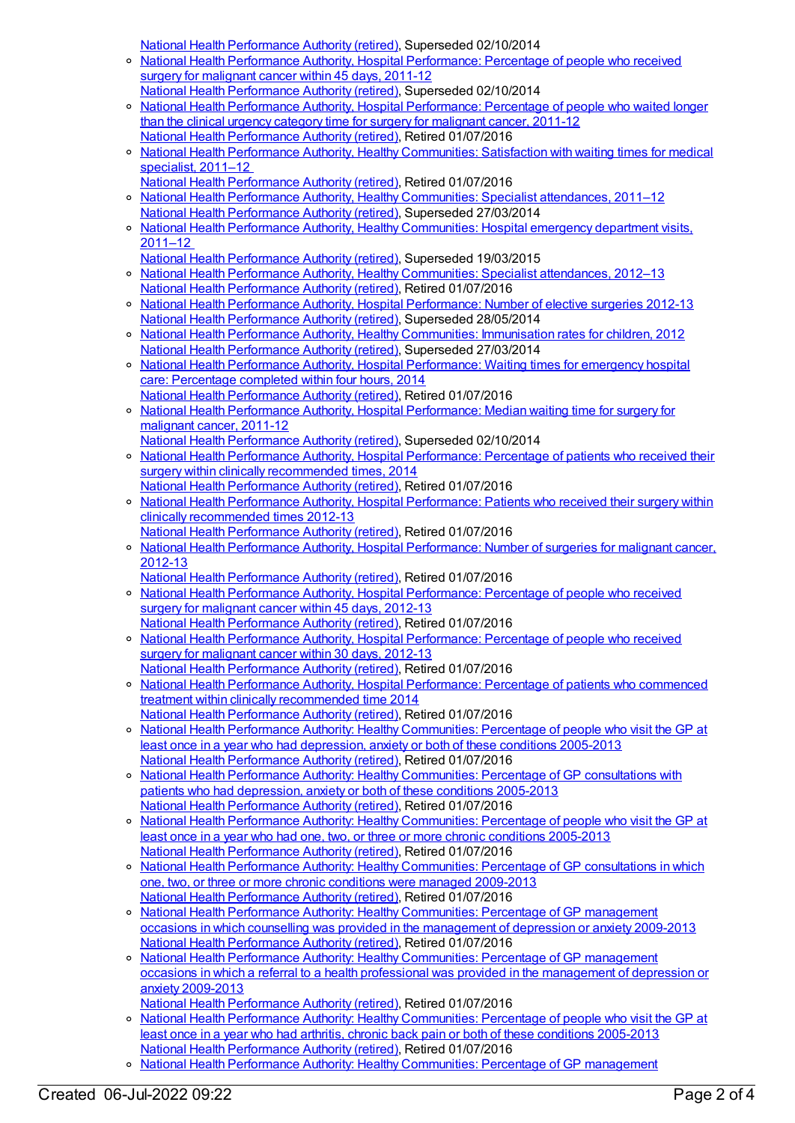National Health [Performance](https://meteor.aihw.gov.au/RegistrationAuthority/8) Authority (retired), Superseded 02/10/2014

- $\circ$ National Health Performance Authority, Hospital [Performance:](https://meteor.aihw.gov.au/content/543422) Percentage of people who received surgery for malignant cancer within 45 days, 2011-12 National Health [Performance](https://meteor.aihw.gov.au/RegistrationAuthority/8) Authority (retired), Superseded 02/10/2014
- <sup>o</sup> National Health Performance Authority, Hospital [Performance:](https://meteor.aihw.gov.au/content/530408) Percentage of people who waited longer than the clinical urgency category time for surgery for malignant cancer, 2011-12 National Health [Performance](https://meteor.aihw.gov.au/RegistrationAuthority/8) Authority (retired), Retired 01/07/2016
- o National Health Performance Authority, Healthy [Communities:](https://meteor.aihw.gov.au/content/547997) Satisfaction with waiting times for medical specialist, 2011–12
- National Health [Performance](https://meteor.aihw.gov.au/RegistrationAuthority/8) Authority (retired), Retired 01/07/2016 o National Health Performance Authority, Healthy [Communities:](https://meteor.aihw.gov.au/content/547062) Specialist attendances, 2011-12 National Health [Performance](https://meteor.aihw.gov.au/RegistrationAuthority/8) Authority (retired), Superseded 27/03/2014
- o National Health Performance Authority, Healthy [Communities:](https://meteor.aihw.gov.au/content/548002) Hospital emergency department visits, 2011–12
- National Health [Performance](https://meteor.aihw.gov.au/RegistrationAuthority/8) Authority (retired), Superseded 19/03/2015 o National Health Performance Authority, Healthy [Communities:](https://meteor.aihw.gov.au/content/547952) Specialist attendances, 2012-13 National Health [Performance](https://meteor.aihw.gov.au/RegistrationAuthority/8) Authority (retired), Retired 01/07/2016
- o National Health Performance Authority, Hospital [Performance:](https://meteor.aihw.gov.au/content/532929) Number of elective surgeries 2012-13 National Health [Performance](https://meteor.aihw.gov.au/RegistrationAuthority/8) Authority (retired), Superseded 28/05/2014
- National Health Performance Authority, Healthy [Communities:](https://meteor.aihw.gov.au/content/515538) Immunisation rates for children, 2012 National Health [Performance](https://meteor.aihw.gov.au/RegistrationAuthority/8) Authority (retired), Superseded 27/03/2014
- National Health Performance Authority, Hospital [Performance:](https://meteor.aihw.gov.au/content/558277) Waiting times for emergency hospital care: Percentage completed within four hours, 2014
- National Health [Performance](https://meteor.aihw.gov.au/RegistrationAuthority/8) Authority (retired), Retired 01/07/2016 o National Health Performance Authority, Hospital [Performance:](https://meteor.aihw.gov.au/content/530403) Median waiting time for surgery for malignant cancer, 2011-12 National Health [Performance](https://meteor.aihw.gov.au/RegistrationAuthority/8) Authority (retired), Superseded 02/10/2014
- o National Health Performance Authority, Hospital [Performance:](https://meteor.aihw.gov.au/content/558300) Percentage of patients who received their surgery within clinically recommended times, 2014
- National Health [Performance](https://meteor.aihw.gov.au/RegistrationAuthority/8) Authority (retired), Retired 01/07/2016 National Health Performance Authority, Hospital [Performance:](https://meteor.aihw.gov.au/content/532935) Patients who received their surgery within clinically recommended times 2012-13
- National Health [Performance](https://meteor.aihw.gov.au/RegistrationAuthority/8) Authority (retired), Retired 01/07/2016 o National Health Performance Authority, Hospital [Performance:](https://meteor.aihw.gov.au/content/579929) Number of surgeries for malignant cancer, 2012-13
- National Health [Performance](https://meteor.aihw.gov.au/RegistrationAuthority/8) Authority (retired), Retired 01/07/2016
- o National Health Performance Authority, Hospital [Performance:](https://meteor.aihw.gov.au/content/579894) Percentage of people who received surgery for malignant cancer within 45 days, 2012-13 National Health [Performance](https://meteor.aihw.gov.au/RegistrationAuthority/8) Authority (retired), Retired 01/07/2016
- National Health Performance Authority, Hospital [Performance:](https://meteor.aihw.gov.au/content/579993) Percentage of people who received surgery for malignant cancer within 30 days, 2012-13
- National Health [Performance](https://meteor.aihw.gov.au/RegistrationAuthority/8) Authority (retired), Retired 01/07/2016 National Health Performance Authority, Hospital [Performance:](https://meteor.aihw.gov.au/content/563081) Percentage of patients who commenced treatment within clinically recommended time 2014 National Health [Performance](https://meteor.aihw.gov.au/RegistrationAuthority/8) Authority (retired), Retired 01/07/2016
- National Health Performance Authority: Healthy [Communities:](https://meteor.aihw.gov.au/content/593768) Percentage of people who visit the GP at least once in a year who had depression, anxiety or both of these conditions 2005-2013 National Health [Performance](https://meteor.aihw.gov.au/RegistrationAuthority/8) Authority (retired), Retired 01/07/2016
- o National Health Performance Authority: Healthy [Communities:](https://meteor.aihw.gov.au/content/588162) Percentage of GP consultations with patients who had depression, anxiety or both of these conditions 2005-2013 National Health [Performance](https://meteor.aihw.gov.au/RegistrationAuthority/8) Authority (retired), Retired 01/07/2016
- o National Health Performance Authority: Healthy [Communities:](https://meteor.aihw.gov.au/content/586349) Percentage of people who visit the GP at least once in a year who had one, two, or three or more chronic conditions 2005-2013 National Health [Performance](https://meteor.aihw.gov.au/RegistrationAuthority/8) Authority (retired), Retired 01/07/2016
- o National Health Performance Authority: Healthy [Communities:](https://meteor.aihw.gov.au/content/586345) Percentage of GP consultations in which one, two, or three or more chronic conditions were managed 2009-2013 National Health [Performance](https://meteor.aihw.gov.au/RegistrationAuthority/8) Authority (retired), Retired 01/07/2016
- National Health Performance Authority: Healthy [Communities:](https://meteor.aihw.gov.au/content/593774) Percentage of GP management occasions in which counselling was provided in the management of depression or anxiety 2009-2013 National Health [Performance](https://meteor.aihw.gov.au/RegistrationAuthority/8) Authority (retired), Retired 01/07/2016
- o National Health Performance Authority: Healthy [Communities:](https://meteor.aihw.gov.au/content/594756) Percentage of GP management occasions in which a referral to a health professional was provided in the management of depression or anxiety 2009-2013
- National Health [Performance](https://meteor.aihw.gov.au/RegistrationAuthority/8) Authority (retired), Retired 01/07/2016 <sup>o</sup> National Health Performance Authority: Healthy [Communities:](https://meteor.aihw.gov.au/content/593791) Percentage of people who visit the GP at least once in a year who had arthritis, chronic back pain or both of these conditions 2005-2013 National Health [Performance](https://meteor.aihw.gov.au/RegistrationAuthority/8) Authority (retired), Retired 01/07/2016
- o National Health Performance Authority: Healthy Communities: Percentage of GP management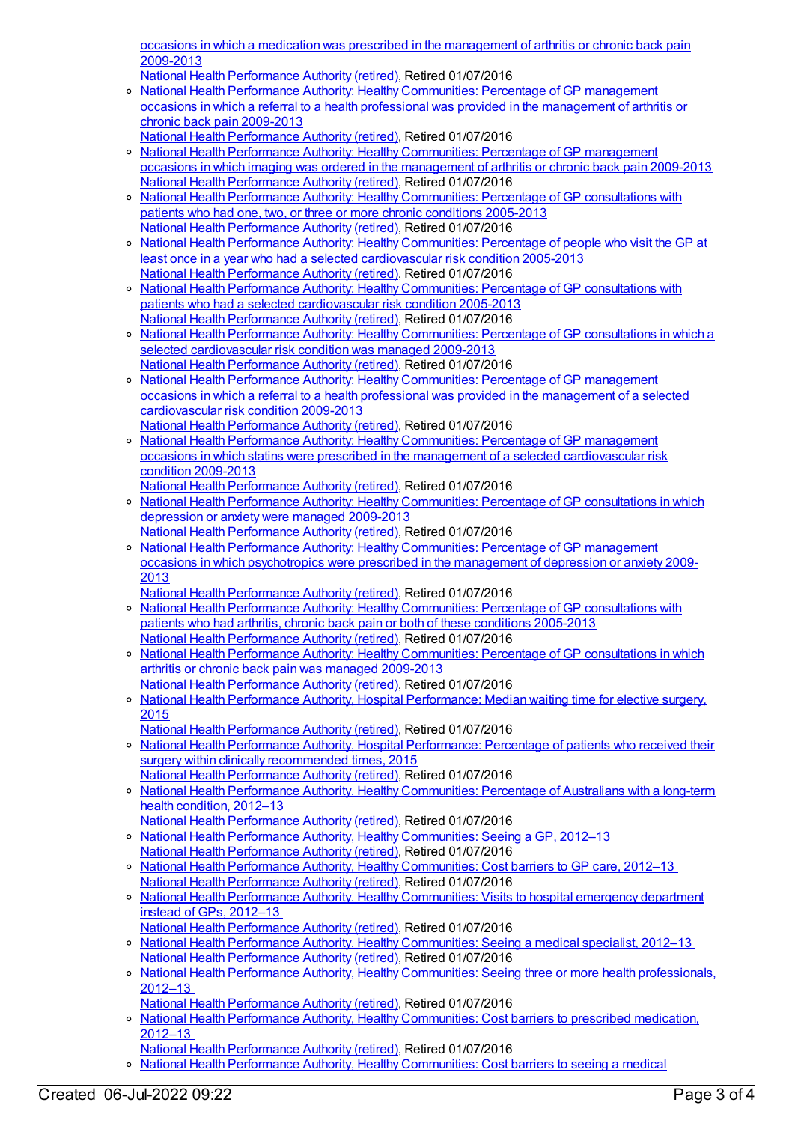occasions in which a medication was prescribed in the [management](https://meteor.aihw.gov.au/content/593798) of arthritis or chronic back pain 2009-2013

National Health [Performance](https://meteor.aihw.gov.au/RegistrationAuthority/8) Authority (retired), Retired 01/07/2016

- o National Health Performance Authority: Healthy [Communities:](https://meteor.aihw.gov.au/content/595024) Percentage of GP management occasions in which a referral to a health professional was provided in the management of arthritis or chronic back pain 2009-2013
- National Health [Performance](https://meteor.aihw.gov.au/RegistrationAuthority/8) Authority (retired), Retired 01/07/2016
- o National Health Performance Authority: Healthy [Communities:](https://meteor.aihw.gov.au/content/593803) Percentage of GP management occasions in which imaging was ordered in the management of arthritis or chronic back pain 2009-2013 National Health [Performance](https://meteor.aihw.gov.au/RegistrationAuthority/8) Authority (retired), Retired 01/07/2016
- o National Health Performance Authority: Healthy [Communities:](https://meteor.aihw.gov.au/content/586342) Percentage of GP consultations with patients who had one, two, or three or more chronic conditions 2005-2013 National Health [Performance](https://meteor.aihw.gov.au/RegistrationAuthority/8) Authority (retired), Retired 01/07/2016
- National Health Performance Authority: Healthy [Communities:](https://meteor.aihw.gov.au/content/593780) Percentage of people who visit the GP at least once in a year who had a selected cardiovascular risk condition 2005-2013 National Health [Performance](https://meteor.aihw.gov.au/RegistrationAuthority/8) Authority (retired), Retired 01/07/2016
- National Health Performance Authority: Healthy [Communities:](https://meteor.aihw.gov.au/content/593783) Percentage of GP consultations with patients who had a selected cardiovascular risk condition 2005-2013 National Health [Performance](https://meteor.aihw.gov.au/RegistrationAuthority/8) Authority (retired), Retired 01/07/2016
- o National Health Performance Authority: Healthy [Communities:](https://meteor.aihw.gov.au/content/593785) Percentage of GP consultations in which a selected cardiovascular risk condition was managed 2009-2013 National Health [Performance](https://meteor.aihw.gov.au/RegistrationAuthority/8) Authority (retired), Retired 01/07/2016
- o National Health Performance Authority: Healthy [Communities:](https://meteor.aihw.gov.au/content/593787) Percentage of GP management occasions in which a referral to a health professional was provided in the management of a selected cardiovascular risk condition 2009-2013 National Health [Performance](https://meteor.aihw.gov.au/RegistrationAuthority/8) Authority (retired), Retired 01/07/2016
- National Health Performance Authority: Healthy Communities: Percentage of GP management occasions in which statins were prescribed in the management of a selected [cardiovascular](https://meteor.aihw.gov.au/content/593789) risk condition 2009-2013
- National Health [Performance](https://meteor.aihw.gov.au/RegistrationAuthority/8) Authority (retired), Retired 01/07/2016 National Health Performance Authority: Healthy [Communities:](https://meteor.aihw.gov.au/content/593770) Percentage of GP consultations in which depression or anxiety were managed 2009-2013 National Health [Performance](https://meteor.aihw.gov.au/RegistrationAuthority/8) Authority (retired), Retired 01/07/2016
- o National Health Performance Authority: Healthy [Communities:](https://meteor.aihw.gov.au/content/593772) Percentage of GP management occasions in which psychotropics were prescribed in the management of depression or anxiety 2009- 2013
	- National Health [Performance](https://meteor.aihw.gov.au/RegistrationAuthority/8) Authority (retired), Retired 01/07/2016
- o National Health Performance Authority: Healthy [Communities:](https://meteor.aihw.gov.au/content/593793) Percentage of GP consultations with patients who had arthritis, chronic back pain or both of these conditions 2005-2013 National Health [Performance](https://meteor.aihw.gov.au/RegistrationAuthority/8) Authority (retired), Retired 01/07/2016
- <sup>o</sup> National Health Performance Authority: Healthy [Communities:](https://meteor.aihw.gov.au/content/593796) Percentage of GP consultations in which arthritis or chronic back pain was managed 2009-2013 National Health [Performance](https://meteor.aihw.gov.au/RegistrationAuthority/8) Authority (retired), Retired 01/07/2016
- o National Health Performance Authority, Hospital [Performance:](https://meteor.aihw.gov.au/content/603005) Median waiting time for elective surgery, 2015
	- National Health [Performance](https://meteor.aihw.gov.au/RegistrationAuthority/8) Authority (retired), Retired 01/07/2016
- o National Health Performance Authority, Hospital [Performance:](https://meteor.aihw.gov.au/content/603039) Percentage of patients who received their surgery within clinically recommended times, 2015 National Health [Performance](https://meteor.aihw.gov.au/RegistrationAuthority/8) Authority (retired), Retired 01/07/2016
- National Health Performance Authority, Healthy [Communities:](https://meteor.aihw.gov.au/content/594173) Percentage of Australians with a long-term health condition, 2012–13 National Health [Performance](https://meteor.aihw.gov.au/RegistrationAuthority/8) Authority (retired), Retired 01/07/2016
- o National Health Performance Authority, Healthy [Communities:](https://meteor.aihw.gov.au/content/594116) Seeing a GP, 2012-13 National Health [Performance](https://meteor.aihw.gov.au/RegistrationAuthority/8) Authority (retired), Retired 01/07/2016
- <sup>o</sup> National Health Performance Authority, Healthy [Communities:](https://meteor.aihw.gov.au/content/601737) Cost barriers to GP care, 2012-13 National Health [Performance](https://meteor.aihw.gov.au/RegistrationAuthority/8) Authority (retired), Retired 01/07/2016
- National Health Performance Authority, Healthy [Communities:](https://meteor.aihw.gov.au/content/594106) Visits to hospital emergency department  $\circ$ instead of GPs, 2012–13 National Health [Performance](https://meteor.aihw.gov.au/RegistrationAuthority/8) Authority (retired), Retired 01/07/2016
- National Health Performance Authority, Healthy [Communities:](https://meteor.aihw.gov.au/content/594772) Seeing a medical specialist, 2012–13 National Health [Performance](https://meteor.aihw.gov.au/RegistrationAuthority/8) Authority (retired), Retired 01/07/2016
- o National Health Performance Authority, Healthy [Communities:](https://meteor.aihw.gov.au/content/601739) Seeing three or more health professionals, 2012–13
- National Health [Performance](https://meteor.aihw.gov.au/RegistrationAuthority/8) Authority (retired), Retired 01/07/2016 o National Health Performance Authority, Healthy [Communities:](https://meteor.aihw.gov.au/content/601821) Cost barriers to prescribed medication,
- 2012–13
- National Health [Performance](https://meteor.aihw.gov.au/RegistrationAuthority/8) Authority (retired), Retired 01/07/2016 o National Health Performance Authority, Healthy [Communities:](https://meteor.aihw.gov.au/content/601815) Cost barriers to seeing a medical
- Created 06-Jul-2022 09:22 Page 3 of 4